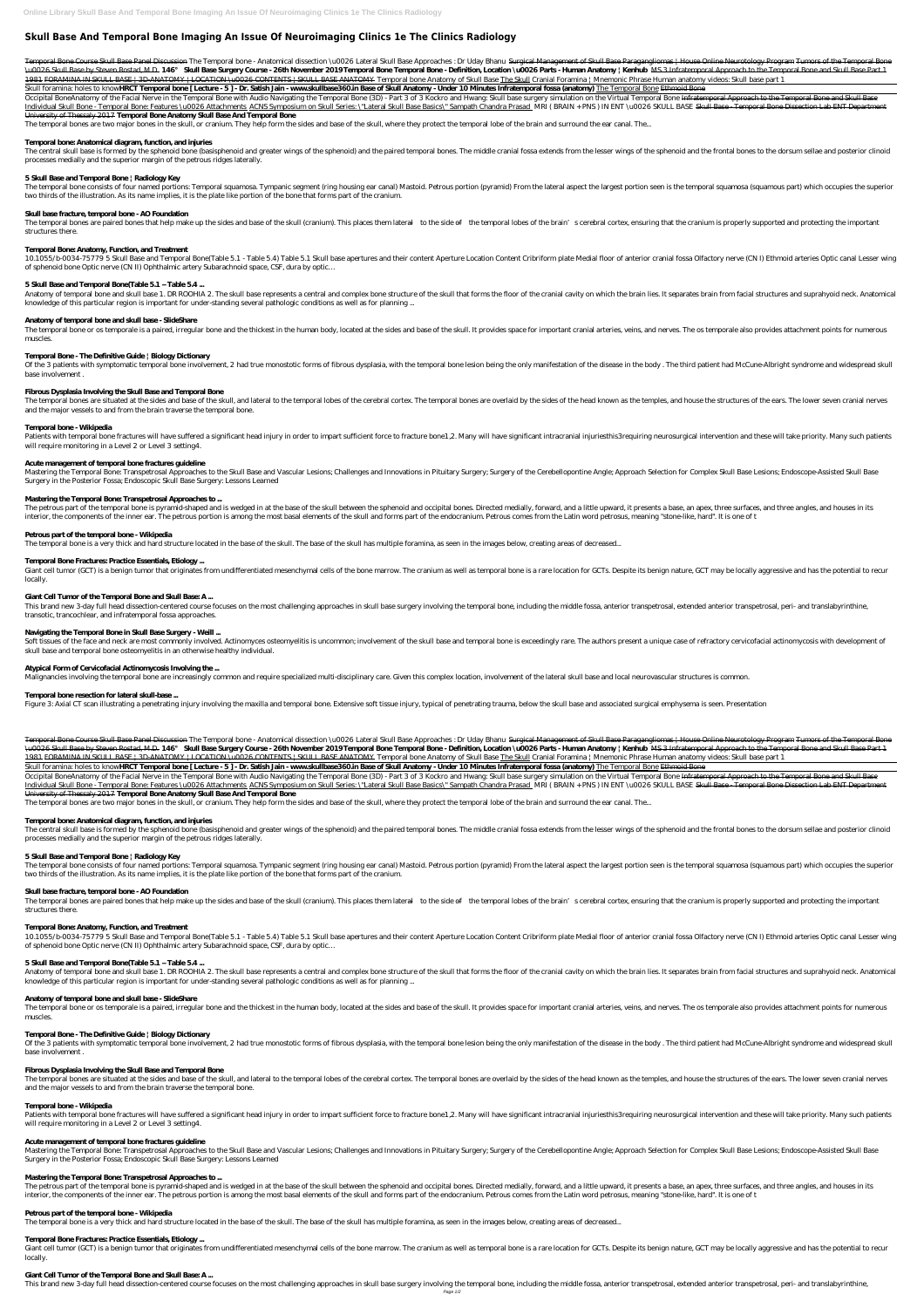# **Skull Base And Temporal Bone Imaging An Issue Of Neuroimaging Clinics 1e The Clinics Radiology**

Temporal Bone Course Skull Base Panel Discussion The Temporal bone - Anatomical dissection \u0026 Lateral Skull Base Approaches : Dr Uday Bhanu Surgical Management of Skull Base Paragangliomas | House Online Neurotology Pr \u0026 Skull Base by Steven Rostad, M.D. 146° Skull Base Surgery Course - 26th November 2019Temporal Bone Temporal Bone - Definition, Location \u0026 Parts - Human Anatomy | Kenhub MS 3 Infratemporal Approach to the Tempor 1981 FORAMINA IN SKULL BASE | 3D-ANATOMY | LOCATION \u0026 CONTENTS | SKULL BASE ANATOMY Temporal bone Anatomy of Skull Base The Skull *Cranial Foramina | Mnemonic Phrase Human anatomy videos: Skull base part 1*

Skull foramina: holes to know**HRCT Temporal bone [Lecture - 5] - Dr. Satish Jain - www.skullbase360.in Base of Skull Anatomy - Under 10 Minutes Infratemporal fossa (anatomy) The Temporal Bone Ethmoid Bone** 

Occipital BoneAnatomy of the Facial Nerve in the Temporal Bone with Audio Navigating the Temporal Bone (3D) - Part 3 of 3 Kockro and Hwang: Skull base surgery simulation on the Virtual Temporal Bone Infratemporal Approach Individual Skull Bone - Temporal Bone: Features \u0026 Attachments ACNS Symposium on Skull Series: \"Lateral Skull Base Basics\" Sampath Chandra Prasad MRI (BRAIN + PNS) IN ENT\u0026 SKULL BASE Skull Base - Temporal Bone D University of Thessaly 2017 **Temporal Bone Anatomy Skull Base And Temporal Bone**

The temporal bones are two major bones in the skull, or cranium. They help form the sides and base of the skull, where they protect the temporal lobe of the brain and surround the ear canal. The...

The central skull base is formed by the sphenoid bone (basisphenoid and greater wings of the sphenoid) and the paired temporal bones. The middle cranial fossa extends from the lesser wings of the sphenoid and the frontal b processes medially and the superior margin of the petrous ridges laterally.

The temporal bone consists of four named portions: Temporal squamosa. Tympanic segment (ring housing ear canal) Mastoid. Petrous portion (pyramid) From the lateral aspect the largest portion seen is the temporal squamosa ( two thirds of the illustration. As its name implies, it is the plate like portion of the bone that forms part of the cranium.

The temporal bones are paired bones that help make up the sides and base of the skull (cranium). This places them lateral—to the side of—the temporal lobes of the brain's cerebral cortex, ensuring that the cranium is prope structures there.

10.1055/b-0034-75779 5 Skull Base and Temporal Bone(Table 5.1 - Table 5.4) Table 5.1 Skull base apertures and their content Aperture Location Content Cribriform plate Medial floor of anterior cranial fossa Olfactory nerve of sphenoid bone Optic nerve (CN II) Ophthalmic artery Subarachnoid space, CSF, dura by optic…

## **Temporal bone: Anatomical diagram, function, and injuries**

Anatomy of temporal bone and skull base 1. DR ROOHIA 2. The skull base represents a central and complex bone structure of the skull that forms the floor of the cranial cavity on which the brain lies. It separates brain fro knowledge of this particular region is important for under-standing several pathologic conditions as well as for planning ...

The temporal bone or os temporale is a paired, irregular bone and the thickest in the human body, located at the sides and base of the skull. It provides space for important cranial arteries, veins, and nerves. The os temp muscles.

Of the 3 patients with symptomatic temporal bone involvement, 2 had true monostotic forms of fibrous dysplasia, with the temporal bone lesion being the only manifestation of the disease in the body. The third patient had M base involvement .

## **5 Skull Base and Temporal Bone | Radiology Key**

The temporal bones are situated at the sides and base of the skull, and lateral to the temporal lobes of the cerebral cortex. The temporal bones are overlaid by the sides of the head known as the temples, and house the str and the major vessels to and from the brain traverse the temporal bone.

Patients with temporal bone fractures will have suffered a significant head injury in order to impart sufficient force to fracture bone1,2. Many will have significant intracranial injuriesthis3requiring neurosurgical inter will require monitoring in a Level 2 or Level 3 setting4.

## **Skull base fracture, temporal bone - AO Foundation**

Mastering the Temporal Bone: Transpetrosal Approaches to the Skull Base and Vascular Lesions; Challenges and Innovations in Pituitary Surgery; Surgery of the Cerebellopontine Angle; Approach Selection for Complex Skull Bas Surgery in the Posterior Fossa; Endoscopic Skull Base Surgery: Lessons Learned

#### **Temporal Bone: Anatomy, Function, and Treatment**

Giant cell tumor (GCT) is a benign tumor that originates from undifferentiated mesenchymal cells of the bone marrow. The cranium as well as temporal bone is a rare location for GCTs. Despite its benign nature, GCT may be l locally.

## **5 Skull Base and Temporal Bone(Table 5.1 – Table 5.4 ...**

This brand new 3-day full head dissection-centered course focuses on the most challenging approaches in skull base surgery involving the temporal bone, including the middle fossa, anterior transpetrosal, extended anterior transotic, trancochlear, and infratemporal fossa approaches.

Soft tissues of the face and neck are most commonly involved. Actinomyces osteomyelitis is uncommon; involvement of the skull base and temporal bone is exceedingly rare. The authors present a unique case of refractory cerv skull base and temporal bone osteomyelitis in an otherwise healthy individual.

## **Anatomy of temporal bone and skull base - SlideShare**

## **Temporal Bone - The Definitive Guide | Biology Dictionary**

Temporal Bone Course Skull Base Panel Discussion The Temporal bone - Anatomical dissection \u0026 Lateral Skull Base Approaches : Dr Uday Bhanu Surgical Management of Skull Base Paragangliomas | House Online Neurotology Pr \u0026 Skull Base by Steven Rostad, M.D. 146° Skull Base Surgery Course - 26th November 2019Temporal Bone Temporal Bone - Definition, Location \u0026 Parts - Human Anatomy | Kenhub MS 3 Infratemporal Approach to the Tempor 1981 FORAMINA IN SKULL BASE | 3D-ANATOMY | LOCATION \u0026 CONTENTS | SKULL BASE ANATOMY Temporal bone Anatomy of Skull Base The Skull *Cranial Foramina | Mnemonic Phrase Human anatomy videos: Skull base part 1*

Skull foramina: holes to know**HRCT Temporal bone [Lecture - 5] - Dr. Satish Jain - www.skullbase360.in Base of Skull Anatomy - Under 10 Minutes Infratemporal fossa (anatomy) The Temporal Bone Ethmoid Bone** 

## **Fibrous Dysplasia Involving the Skull Base and Temporal Bone**

Occipital BoneAnatomy of the Facial Nerve in the Temporal Bone with Audio Navigating the Temporal Bone (3D) - Part 3 of 3 Kockro and Hwang: Skull base surgery simulation on the Virtual Temporal Bone Infratemporal Approach Individual Skull Bone - Temporal Bone: Features \u0026 Attachments ACNS Symposium on Skull Series: \"Lateral Skull Base Basics\" Sampath Chandra Prasad MRI (BRAIN + PNS) IN ENT\u0026 SKULL BASE Skull Base - Temporal Bone D University of Thessaly 2017 **Temporal Bone Anatomy Skull Base And Temporal Bone**

The temporal bones are two major bones in the skull, or cranium. They help form the sides and base of the skull, where they protect the temporal lobe of the brain and surround the ear canal. The...

## **Temporal bone - Wikipedia**

The central skull base is formed by the sphenoid bone (basisphenoid and greater wings of the sphenoid) and the paired temporal bones. The middle cranial fossa extends from the lesser wings of the sphenoid and the frontal b processes medially and the superior margin of the petrous ridges laterally.

The temporal bone consists of four named portions: Temporal squamosa. Tympanic segment (ring housing ear canal) Mastoid. Petrous portion (pyramid) From the lateral aspect the largest portion seen is the temporal squamosa ( two thirds of the illustration. As its name implies, it is the plate like portion of the bone that forms part of the cranium.

#### **Acute management of temporal bone fractures guideline**

The temporal bones are paired bones that help make up the sides and base of the skull (cranium). This places them lateral—to the side of—the temporal lobes of the brain's cerebral cortex, ensuring that the cranium is prope structures there.

10.1055/b-0034-75779 5 Skull Base and Temporal Bone(Table 5.1 - Table 5.4) Table 5.1 Skull base apertures and their content Aperture Location Content Cribriform plate Medial floor of anterior cranial fossa Olfactory nerve of sphenoid bone Optic nerve (CN II) Ophthalmic artery Subarachnoid space, CSF, dura by optic…

#### **Mastering the Temporal Bone: Transpetrosal Approaches to ...**

The petrous part of the temporal bone is pyramid-shaped and is wedged in at the base of the skull between the sphenoid and occipital bones. Directed medially, forward, and a little upward, it presents a base, an apex, thre interior, the components of the inner ear. The petrous portion is among the most basal elements of the skull and forms part of the endocranium. Petrous comes from the Latin word petrosus, meaning "stone-like, hard". It is

Anatomy of temporal bone and skull base 1. DR ROOHIA 2. The skull base represents a central and complex bone structure of the skull that forms the floor of the cranial cavity on which the brain lies. It separates brain fro knowledge of this particular region is important for under-standing several pathologic conditions as well as for planning ...

The temporal bone or os temporale is a paired, irregular bone and the thickest in the human body, located at the sides and base of the skull. It provides space for important cranial arteries, veins, and nerves. The os temp muscles.

Of the 3 patients with symptomatic temporal bone involvement, 2 had true monostotic forms of fibrous dysplasia, with the temporal bone lesion being the only manifestation of the disease in the body. The third patient had M base involvement .

#### **Petrous part of the temporal bone - Wikipedia**

The temporal bone is a very thick and hard structure located in the base of the skull. The base of the skull has multiple foramina, as seen in the images below, creating areas of decreased...

The temporal bones are situated at the sides and base of the skull, and lateral to the temporal lobes of the cerebral cortex. The temporal bones are overlaid by the sides of the head known as the temples, and house the str and the major vessels to and from the brain traverse the temporal bone.

#### **Temporal Bone Fractures: Practice Essentials, Etiology ...**

Patients with temporal bone fractures will have suffered a significant head injury in order to impart sufficient force to fracture bone1,2. Many will have significant intracranial injuriesthis3requiring neurosurgical inter will require monitoring in a Level 2 or Level 3 setting4.

Mastering the Temporal Bone: Transpetrosal Approaches to the Skull Base and Vascular Lesions; Challenges and Innovations in Pituitary Surgery; Surgery of the Cerebellopontine Angle; Approach Selection for Complex Skull Bas Surgery in the Posterior Fossa; Endoscopic Skull Base Surgery: Lessons Learned

#### **Giant Cell Tumor of the Temporal Bone and Skull Base: A ...**

#### **Navigating the Temporal Bone in Skull Base Surgery - Weill ...**

Giant cell tumor (GCT) is a benign tumor that originates from undifferentiated mesenchymal cells of the bone marrow. The cranium as well as temporal bone is a rare location for GCTs. Despite its benign nature, GCT may be l locally.

#### **Atypical Form of Cervicofacial Actinomycosis Involving the ...**

Malignancies involving the temporal bone are increasingly common and require specialized multi-disciplinary care. Given this complex location, involvement of the lateral skull base and local neurovascular structures is com

#### **Temporal bone resection for lateral skull-base ...**

Figure 3: Axial CT scan illustrating a penetrating injury involving the maxilla and temporal bone. Extensive soft tissue injury, typical of penetrating trauma, below the skull base and associated surgical emphysema is seen

## **Temporal bone: Anatomical diagram, function, and injuries**

## **5 Skull Base and Temporal Bone | Radiology Key**

## **Skull base fracture, temporal bone - AO Foundation**

#### **Temporal Bone: Anatomy, Function, and Treatment**

#### **5 Skull Base and Temporal Bone(Table 5.1 – Table 5.4 ...**

#### **Anatomy of temporal bone and skull base - SlideShare**

#### **Temporal Bone - The Definitive Guide | Biology Dictionary**

#### **Fibrous Dysplasia Involving the Skull Base and Temporal Bone**

#### **Temporal bone - Wikipedia**

#### **Acute management of temporal bone fractures guideline**

## **Mastering the Temporal Bone: Transpetrosal Approaches to ...**

The petrous part of the temporal bone is pyramid-shaped and is wedged in at the base of the skull between the sphenoid and occipital bones. Directed medially, forward, and a little upward, it presents a base, an apex, thre interior, the components of the inner ear. The petrous portion is among the most basal elements of the skull and forms part of the endocranium. Petrous comes from the Latin word petrosus, meaning "stone-like, hard". It is

## **Petrous part of the temporal bone - Wikipedia**

The temporal bone is a very thick and hard structure located in the base of the skull. The base of the skull has multiple foramina, as seen in the images below, creating areas of decreased...

#### **Temporal Bone Fractures: Practice Essentials, Etiology ...**

## **Giant Cell Tumor of the Temporal Bone and Skull Base: A ...**

This brand new 3-day full head dissection-centered course focuses on the most challenging approaches in skull base surgery involving the temporal bone, including the middle fossa, anterior transpetrosal, extended anterior